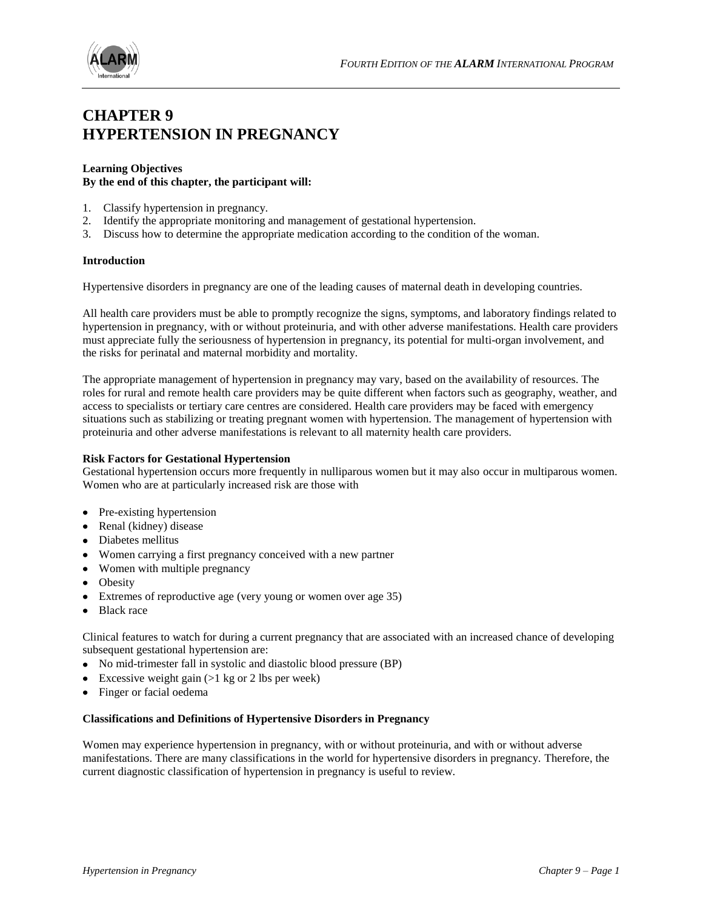

### **CHAPTER 9 HYPERTENSION IN PREGNANCY**

#### **Learning Objectives By the end of this chapter, the participant will:**

- 1. Classify hypertension in pregnancy.
- 2. Identify the appropriate monitoring and management of gestational hypertension.
- 3. Discuss how to determine the appropriate medication according to the condition of the woman.

#### **Introduction**

Hypertensive disorders in pregnancy are one of the leading causes of maternal death in developing countries.

All health care providers must be able to promptly recognize the signs, symptoms, and laboratory findings related to hypertension in pregnancy, with or without proteinuria, and with other adverse manifestations. Health care providers must appreciate fully the seriousness of hypertension in pregnancy, its potential for multi-organ involvement, and the risks for perinatal and maternal morbidity and mortality.

The appropriate management of hypertension in pregnancy may vary, based on the availability of resources. The roles for rural and remote health care providers may be quite different when factors such as geography, weather, and access to specialists or tertiary care centres are considered. Health care providers may be faced with emergency situations such as stabilizing or treating pregnant women with hypertension. The management of hypertension with proteinuria and other adverse manifestations is relevant to all maternity health care providers.

#### **Risk Factors for Gestational Hypertension**

Gestational hypertension occurs more frequently in nulliparous women but it may also occur in multiparous women. Women who are at particularly increased risk are those with

- Pre-existing hypertension
- Renal (kidney) disease
- Diabetes mellitus
- Women carrying a first pregnancy conceived with a new partner
- Women with multiple pregnancy
- Obesity
- Extremes of reproductive age (very young or women over age 35)
- Black race

Clinical features to watch for during a current pregnancy that are associated with an increased chance of developing subsequent gestational hypertension are:

- No mid-trimester fall in systolic and diastolic blood pressure (BP)
- Excessive weight gain  $(>1 \text{ kg or } 2 \text{ lbs per week})$
- Finger or facial oedema

#### **Classifications and Definitions of Hypertensive Disorders in Pregnancy**

Women may experience hypertension in pregnancy, with or without proteinuria, and with or without adverse manifestations. There are many classifications in the world for hypertensive disorders in pregnancy. Therefore, the current diagnostic classification of hypertension in pregnancy is useful to review.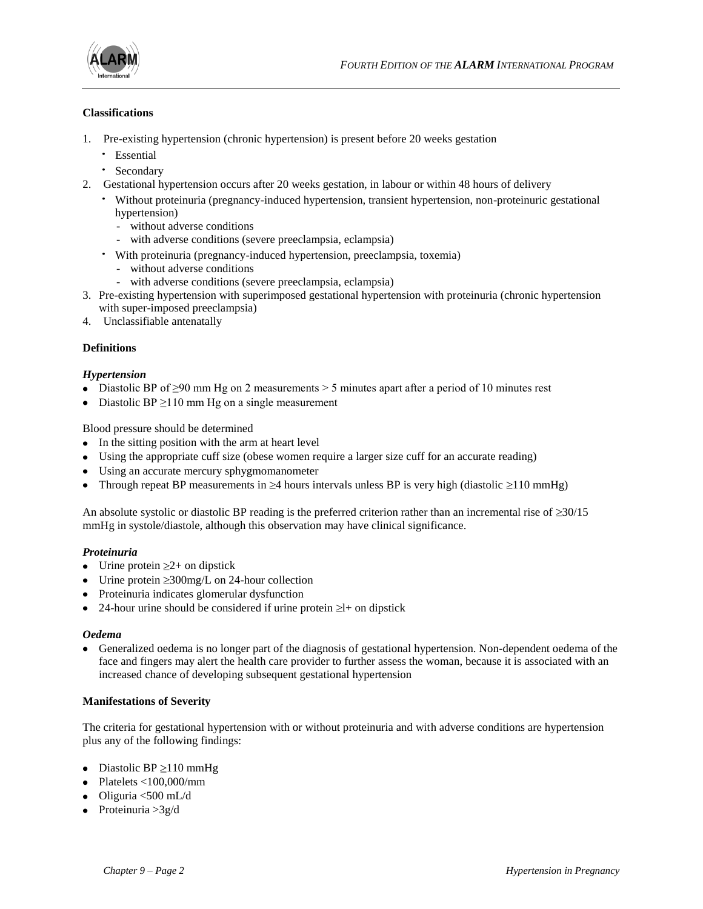

#### **Classifications**

- 1. Pre-existing hypertension (chronic hypertension) is present before 20 weeks gestation
	- · Essential
	- · Secondary
- 2. Gestational hypertension occurs after 20 weeks gestation, in labour or within 48 hours of delivery
	- · Without proteinuria (pregnancy-induced hypertension, transient hypertension, non-proteinuric gestational hypertension)
		- without adverse conditions
		- with adverse conditions (severe preeclampsia, eclampsia)
	- · With proteinuria (pregnancy-induced hypertension, preeclampsia, toxemia)
		- without adverse conditions
		- with adverse conditions (severe preeclampsia, eclampsia)
- 3. Pre-existing hypertension with superimposed gestational hypertension with proteinuria (chronic hypertension with super-imposed preeclampsia)
- 4. Unclassifiable antenatally

#### **Definitions**

#### *Hypertension*

- Diastolic BP of  $\geq 90$  mm Hg on 2 measurements  $> 5$  minutes apart after a period of 10 minutes rest
- Diastolic BP  $\geq$ 110 mm Hg on a single measurement

Blood pressure should be determined

- In the sitting position with the arm at heart level
- Using the appropriate cuff size (obese women require a larger size cuff for an accurate reading)
- Using an accurate mercury sphygmomanometer
- Through repeat BP measurements in  $\geq 4$  hours intervals unless BP is very high (diastolic  $\geq 110$  mmHg)

An absolute systolic or diastolic BP reading is the preferred criterion rather than an incremental rise of  $\geq 30/15$ mmHg in systole/diastole, although this observation may have clinical significance.

#### *Proteinuria*

- Urine protein  $\geq 2+$  on dipstick
- Urine protein  $\geq 300$ mg/L on 24-hour collection
- Proteinuria indicates glomerular dysfunction
- 24-hour urine should be considered if urine protein  $\geq$  + on dipstick

#### *Oedema*

Generalized oedema is no longer part of the diagnosis of gestational hypertension. Non-dependent oedema of the face and fingers may alert the health care provider to further assess the woman, because it is associated with an increased chance of developing subsequent gestational hypertension

#### **Manifestations of Severity**

The criteria for gestational hypertension with or without proteinuria and with adverse conditions are hypertension plus any of the following findings:

- Diastolic BP  $\geq$ 110 mmHg
- Platelets <100,000/mm
- $\bullet$  Oliguria <500 mL/d
- Proteinuria  $>3g/d$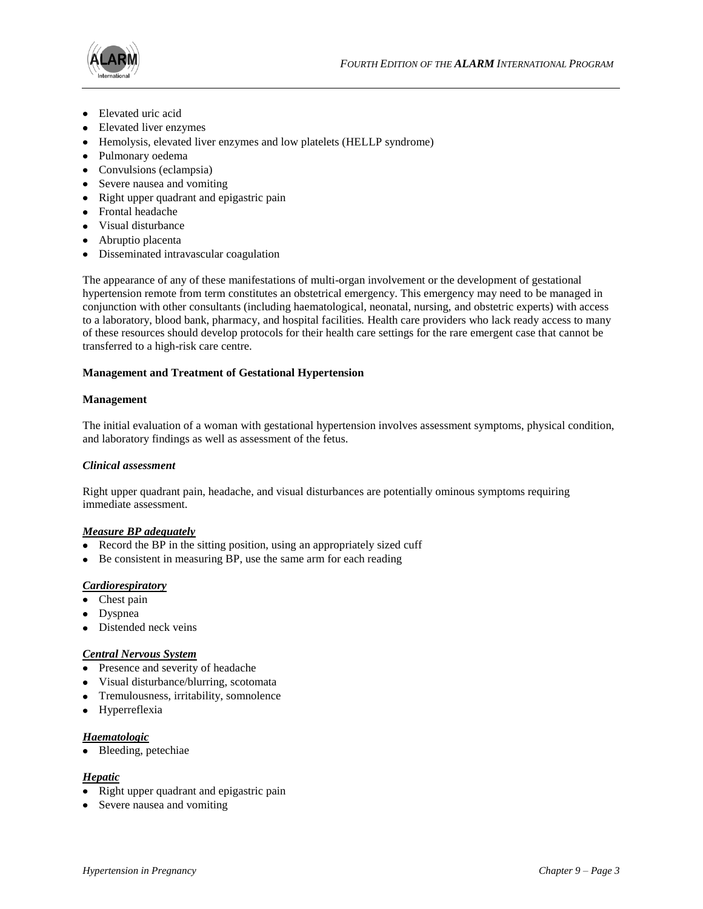

- Elevated uric acid
- Elevated liver enzymes
- Hemolysis, elevated liver enzymes and low platelets (HELLP syndrome)
- Pulmonary oedema
- Convulsions (eclampsia)
- Severe nausea and vomiting
- Right upper quadrant and epigastric pain
- Frontal headache
- Visual disturbance
- Abruptio placenta
- Disseminated intravascular coagulation

The appearance of any of these manifestations of multi-organ involvement or the development of gestational hypertension remote from term constitutes an obstetrical emergency. This emergency may need to be managed in conjunction with other consultants (including haematological, neonatal, nursing, and obstetric experts) with access to a laboratory, blood bank, pharmacy, and hospital facilities*.* Health care providers who lack ready access to many of these resources should develop protocols for their health care settings for the rare emergent case that cannot be transferred to a high-risk care centre.

#### **Management and Treatment of Gestational Hypertension**

#### **Management**

The initial evaluation of a woman with gestational hypertension involves assessment symptoms, physical condition, and laboratory findings as well as assessment of the fetus.

#### *Clinical assessment*

Right upper quadrant pain, headache, and visual disturbances are potentially ominous symptoms requiring immediate assessment.

#### *Measure BP adequately*

- Record the BP in the sitting position, using an appropriately sized cuff
- Be consistent in measuring BP, use the same arm for each reading

#### *Cardiorespiratory*

- Chest pain
- Dyspnea
- Distended neck veins

#### *Central Nervous System*

- Presence and severity of headache
- Visual disturbance/blurring, scotomata
- Tremulousness, irritability, somnolence
- Hyperreflexia

#### *Haematologic*

• Bleeding, petechiae

#### *Hepatic*

- Right upper quadrant and epigastric pain
- Severe nausea and vomiting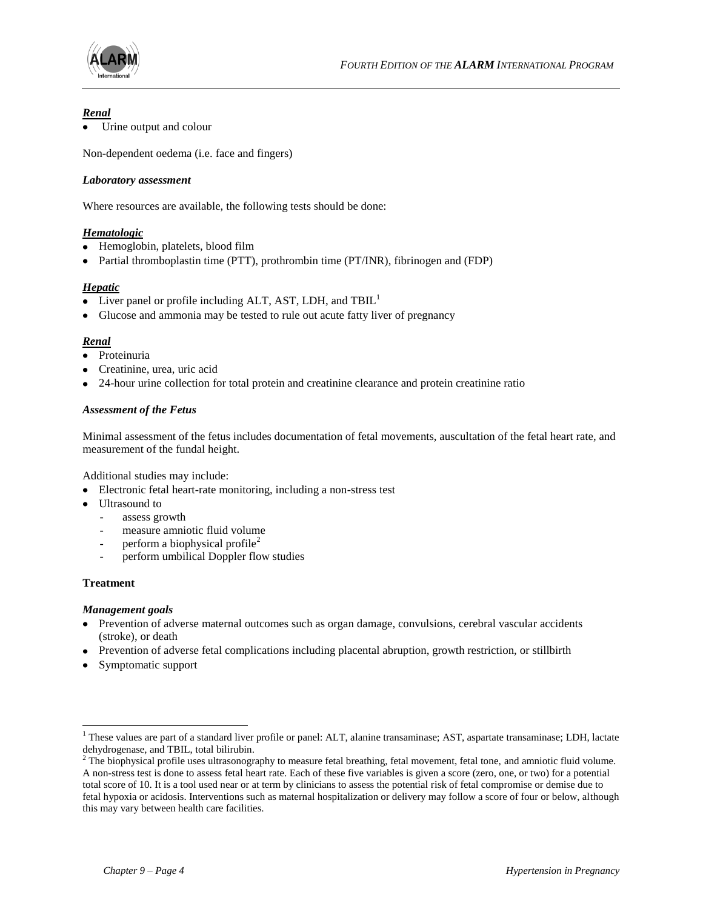

#### *Renal*

Urine output and colour

Non-dependent oedema (i.e. face and fingers)

#### *Laboratory assessment*

Where resources are available, the following tests should be done:

#### *Hematologic*

- Hemoglobin, platelets, blood film
- Partial thromboplastin time (PTT), prothrombin time (PT/INR), fibrinogen and (FDP)

#### *Hepatic*

- Liver panel or profile including ALT, AST, LDH, and  $TBL<sup>1</sup>$
- Glucose and ammonia may be tested to rule out acute fatty liver of pregnancy

#### *Renal*

- Proteinuria
- Creatinine, urea, uric acid
- 24-hour urine collection for total protein and creatinine clearance and protein creatinine ratio

#### *Assessment of the Fetus*

Minimal assessment of the fetus includes documentation of fetal movements, auscultation of the fetal heart rate, and measurement of the fundal height.

Additional studies may include:

- Electronic fetal heart-rate monitoring, including a non-stress test
- Ultrasound to
	- assess growth
	- measure amniotic fluid volume
	- perform a biophysical profile<sup>2</sup>
	- perform umbilical Doppler flow studies

#### **Treatment**

l

#### *Management goals*

- Prevention of adverse maternal outcomes such as organ damage, convulsions, cerebral vascular accidents (stroke), or death
- Prevention of adverse fetal complications including placental abruption, growth restriction, or stillbirth
- Symptomatic support

<sup>&</sup>lt;sup>1</sup> These values are part of a standard liver profile or panel: ALT, alanine transaminase; AST, aspartate transaminase; LDH, lactate dehydrogenase, and TBIL, total bilirubin.

<sup>&</sup>lt;sup>2</sup> The biophysical profile uses ultrasonography to measure fetal breathing, fetal movement, fetal tone, and amniotic fluid volume. A non-stress test is done to assess fetal heart rate. Each of these five variables is given a score (zero, one, or two) for a potential total score of 10. It is a tool used near or at term by clinicians to assess the potential risk of fetal compromise or demise due to fetal hypoxia or acidosis. Interventions such as maternal hospitalization or delivery may follow a score of four or below, although this may vary between health care facilities.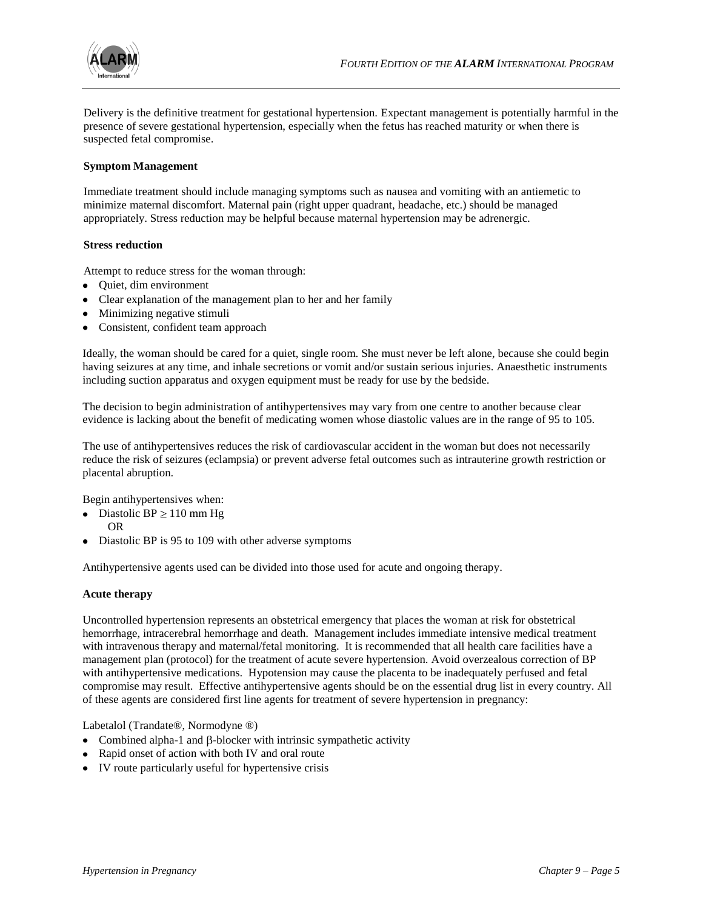

Delivery is the definitive treatment for gestational hypertension. Expectant management is potentially harmful in the presence of severe gestational hypertension, especially when the fetus has reached maturity or when there is suspected fetal compromise.

#### **Symptom Management**

Immediate treatment should include managing symptoms such as nausea and vomiting with an antiemetic to minimize maternal discomfort. Maternal pain (right upper quadrant, headache, etc.) should be managed appropriately. Stress reduction may be helpful because maternal hypertension may be adrenergic.

#### **Stress reduction**

Attempt to reduce stress for the woman through:

- Quiet, dim environment
- Clear explanation of the management plan to her and her family
- Minimizing negative stimuli
- Consistent, confident team approach

Ideally, the woman should be cared for a quiet, single room. She must never be left alone, because she could begin having seizures at any time, and inhale secretions or vomit and/or sustain serious injuries. Anaesthetic instruments including suction apparatus and oxygen equipment must be ready for use by the bedside.

The decision to begin administration of antihypertensives may vary from one centre to another because clear evidence is lacking about the benefit of medicating women whose diastolic values are in the range of 95 to 105.

The use of antihypertensives reduces the risk of cardiovascular accident in the woman but does not necessarily reduce the risk of seizures (eclampsia) or prevent adverse fetal outcomes such as intrauterine growth restriction or placental abruption.

Begin antihypertensives when:

- Diastolic BP  $\geq$  110 mm Hg
- OR
- Diastolic BP is 95 to 109 with other adverse symptoms

Antihypertensive agents used can be divided into those used for acute and ongoing therapy.

#### **Acute therapy**

Uncontrolled hypertension represents an obstetrical emergency that places the woman at risk for obstetrical hemorrhage, intracerebral hemorrhage and death. Management includes immediate intensive medical treatment with intravenous therapy and maternal/fetal monitoring. It is recommended that all health care facilities have a management plan (protocol) for the treatment of acute severe hypertension. Avoid overzealous correction of BP with antihypertensive medications. Hypotension may cause the placenta to be inadequately perfused and fetal compromise may result. Effective antihypertensive agents should be on the essential drug list in every country. All of these agents are considered first line agents for treatment of severe hypertension in pregnancy:

Labetalol (Trandate®, Normodyne ®)

- Combined alpha-1 and  $\beta$ -blocker with intrinsic sympathetic activity
- Rapid onset of action with both IV and oral route
- IV route particularly useful for hypertensive crisis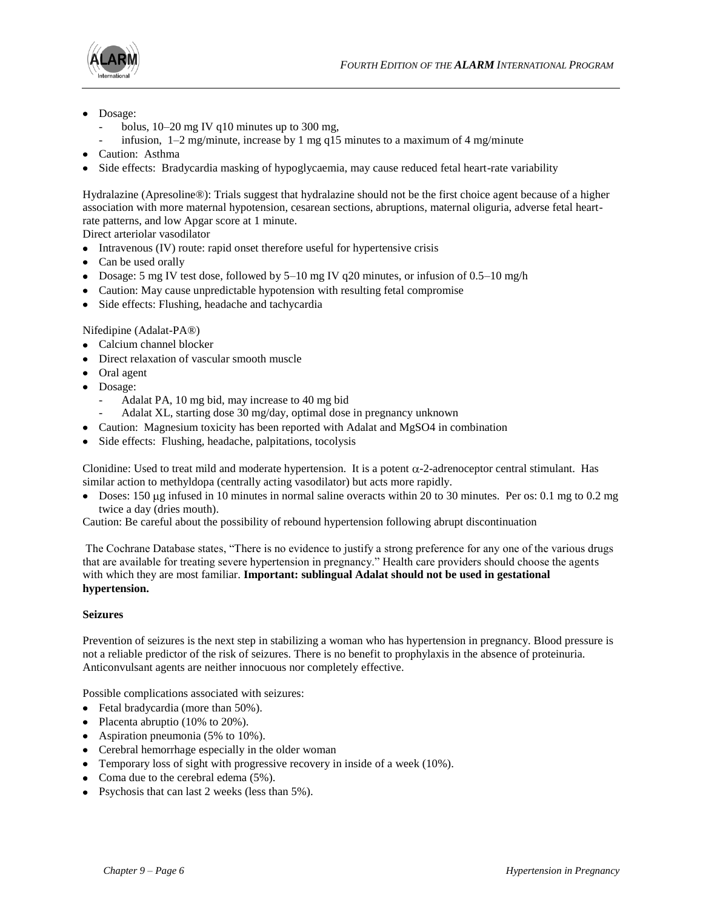

- Dosage:
	- bolus,  $10-20$  mg IV q $10$  minutes up to 300 mg,
	- infusion,  $1-2$  mg/minute, increase by 1 mg q15 minutes to a maximum of 4 mg/minute
- Caution: Asthma
- Side effects: Bradycardia masking of hypoglycaemia, may cause reduced fetal heart-rate variability

Hydralazine (Apresoline®): Trials suggest that hydralazine should not be the first choice agent because of a higher association with more maternal hypotension, cesarean sections, abruptions, maternal oliguria, adverse fetal heartrate patterns, and low Apgar score at 1 minute.

Direct arteriolar vasodilator

- Intravenous (IV) route: rapid onset therefore useful for hypertensive crisis
- Can be used orally
- Dosage: 5 mg IV test dose, followed by 5–10 mg IV q20 minutes, or infusion of 0.5–10 mg/h
- Caution: May cause unpredictable hypotension with resulting fetal compromise
- Side effects: Flushing, headache and tachycardia

#### Nifedipine (Adalat-PA®)

- Calcium channel blocker
- Direct relaxation of vascular smooth muscle
- Oral agent
- Dosage:
	- Adalat PA, 10 mg bid, may increase to 40 mg bid
	- Adalat XL, starting dose 30 mg/day, optimal dose in pregnancy unknown
- Caution: Magnesium toxicity has been reported with Adalat and MgSO4 in combination
- Side effects: Flushing, headache, palpitations, tocolysis

Clonidine: Used to treat mild and moderate hypertension. It is a potent  $\alpha$ -2-adrenoceptor central stimulant. Has similar action to methyldopa (centrally acting vasodilator) but acts more rapidly.

 $\bullet$  Doses: 150 µg infused in 10 minutes in normal saline overacts within 20 to 30 minutes. Per os: 0.1 mg to 0.2 mg twice a day (dries mouth).

Caution: Be careful about the possibility of rebound hypertension following abrupt discontinuation

The Cochrane Database states, "There is no evidence to justify a strong preference for any one of the various drugs that are available for treating severe hypertension in pregnancy." Health care providers should choose the agents with which they are most familiar. **Important: sublingual Adalat should not be used in gestational hypertension.**

#### **Seizures**

Prevention of seizures is the next step in stabilizing a woman who has hypertension in pregnancy. Blood pressure is not a reliable predictor of the risk of seizures. There is no benefit to prophylaxis in the absence of proteinuria. Anticonvulsant agents are neither innocuous nor completely effective.

Possible complications associated with seizures:

- Fetal bradycardia (more than 50%).
- Placenta abruptio (10% to 20%).
- Aspiration pneumonia (5% to 10%).
- Cerebral hemorrhage especially in the older woman
- Temporary loss of sight with progressive recovery in inside of a week (10%).
- Coma due to the cerebral edema (5%).
- Psychosis that can last 2 weeks (less than 5%).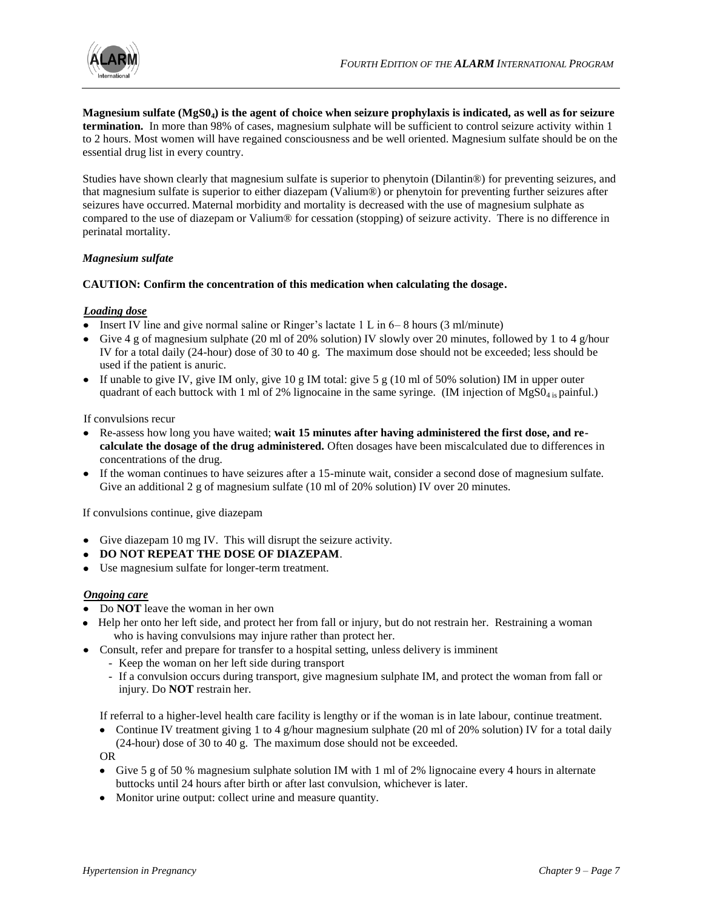

**Magnesium sulfate (MgS04) is the agent of choice when seizure prophylaxis is indicated, as well as for seizure termination.** In more than 98% of cases, magnesium sulphate will be sufficient to control seizure activity within 1 to 2 hours. Most women will have regained consciousness and be well oriented. Magnesium sulfate should be on the essential drug list in every country.

Studies have shown clearly that magnesium sulfate is superior to phenytoin (Dilantin®) for preventing seizures, and that magnesium sulfate is superior to either diazepam (Valium®) or phenytoin for preventing further seizures after seizures have occurred. Maternal morbidity and mortality is decreased with the use of magnesium sulphate as compared to the use of diazepam or Valium® for cessation (stopping) of seizure activity. There is no difference in perinatal mortality.

#### *Magnesium sulfate*

#### **CAUTION: Confirm the concentration of this medication when calculating the dosage.**

#### *Loading dose*

- Insert IV line and give normal saline or Ringer's lactate 1 L in 6–8 hours (3 ml/minute)
- Give 4 g of magnesium sulphate (20 ml of 20% solution) IV slowly over 20 minutes, followed by 1 to 4 g/hour IV for a total daily (24-hour) dose of 30 to 40 g. The maximum dose should not be exceeded; less should be used if the patient is anuric.
- If unable to give IV, give IM only, give  $10 \text{ g}$  IM total: give  $5 \text{ g}$  (10 ml of 50% solution) IM in upper outer quadrant of each buttock with 1 ml of 2% lignocaine in the same syringe. (IM injection of  $MgSO<sub>4 is</sub>$  painful.)

If convulsions recur

- Re-assess how long you have waited; **wait 15 minutes after having administered the first dose, and recalculate the dosage of the drug administered.** Often dosages have been miscalculated due to differences in concentrations of the drug.
- If the woman continues to have seizures after a 15-minute wait, consider a second dose of magnesium sulfate. Give an additional 2 g of magnesium sulfate (10 ml of 20% solution) IV over 20 minutes.

If convulsions continue, give diazepam

- Give diazepam 10 mg IV. This will disrupt the seizure activity.
- **DO NOT REPEAT THE DOSE OF DIAZEPAM.**
- Use magnesium sulfate for longer-term treatment.

#### *Ongoing care*

- Do **NOT** leave the woman in her own
- Help her onto her left side, and protect her from fall or injury, but do not restrain her. Restraining a woman who is having convulsions may injure rather than protect her.
- Consult, refer and prepare for transfer to a hospital setting, unless delivery is imminent
	- Keep the woman on her left side during transport
	- If a convulsion occurs during transport, give magnesium sulphate IM, and protect the woman from fall or injury. Do **NOT** restrain her.

If referral to a higher-level health care facility is lengthy or if the woman is in late labour, continue treatment.

• Continue IV treatment giving 1 to 4 g/hour magnesium sulphate (20 ml of 20% solution) IV for a total daily (24-hour) dose of 30 to 40 g. The maximum dose should not be exceeded. OR

Give 5 g of 50 % magnesium sulphate solution IM with 1 ml of 2% lignocaine every 4 hours in alternate buttocks until 24 hours after birth or after last convulsion, whichever is later.

• Monitor urine output: collect urine and measure quantity.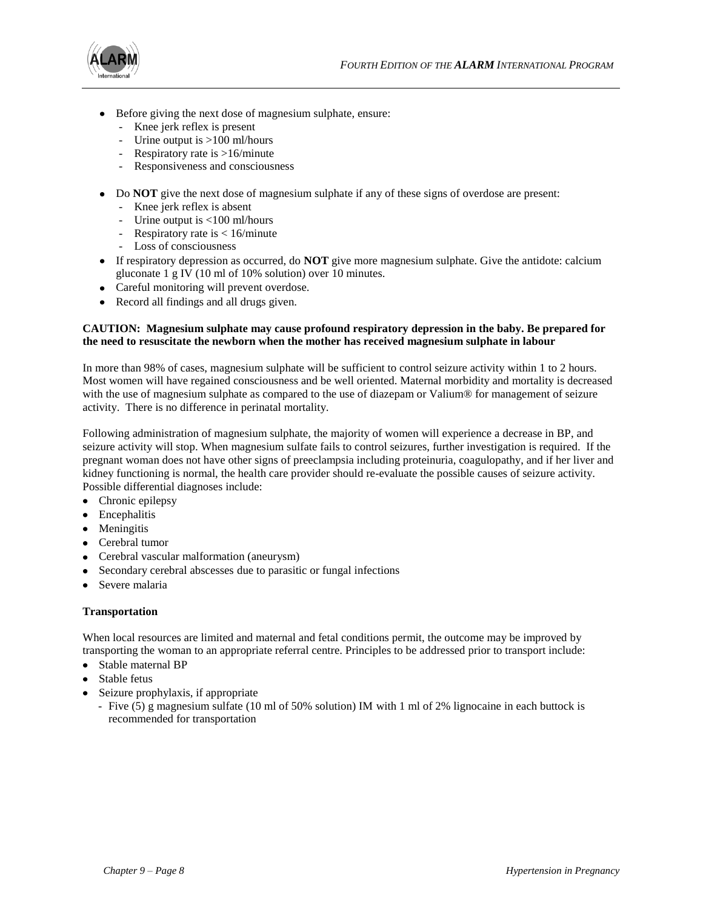

- Before giving the next dose of magnesium sulphate, ensure:
	- Knee jerk reflex is present
	- Urine output is >100 ml/hours
	- Respiratory rate is >16/minute
	- Responsiveness and consciousness
- Do **NOT** give the next dose of magnesium sulphate if any of these signs of overdose are present:
	- Knee jerk reflex is absent
	- Urine output is <100 ml/hours
	- Respiratory rate is < 16/minute
	- Loss of consciousness
- If respiratory depression as occurred, do **NOT** give more magnesium sulphate. Give the antidote: calcium gluconate 1 g IV (10 ml of 10% solution) over 10 minutes.
- Careful monitoring will prevent overdose.
- Record all findings and all drugs given.

#### **CAUTION: Magnesium sulphate may cause profound respiratory depression in the baby. Be prepared for the need to resuscitate the newborn when the mother has received magnesium sulphate in labour**

In more than 98% of cases, magnesium sulphate will be sufficient to control seizure activity within 1 to 2 hours. Most women will have regained consciousness and be well oriented. Maternal morbidity and mortality is decreased with the use of magnesium sulphate as compared to the use of diazepam or Valium® for management of seizure activity. There is no difference in perinatal mortality.

Following administration of magnesium sulphate, the majority of women will experience a decrease in BP, and seizure activity will stop. When magnesium sulfate fails to control seizures, further investigation is required. If the pregnant woman does not have other signs of preeclampsia including proteinuria, coagulopathy, and if her liver and kidney functioning is normal, the health care provider should re-evaluate the possible causes of seizure activity. Possible differential diagnoses include:

- Chronic epilepsy
- Encephalitis
- Meningitis
- Cerebral tumor
- Cerebral vascular malformation (aneurysm)
- Secondary cerebral abscesses due to parasitic or fungal infections
- Severe malaria

#### **Transportation**

When local resources are limited and maternal and fetal conditions permit, the outcome may be improved by transporting the woman to an appropriate referral centre. Principles to be addressed prior to transport include:

- Stable maternal BP
- Stable fetus
- Seizure prophylaxis, if appropriate
	- Five (5) g magnesium sulfate (10 ml of 50% solution) IM with 1 ml of 2% lignocaine in each buttock is recommended for transportation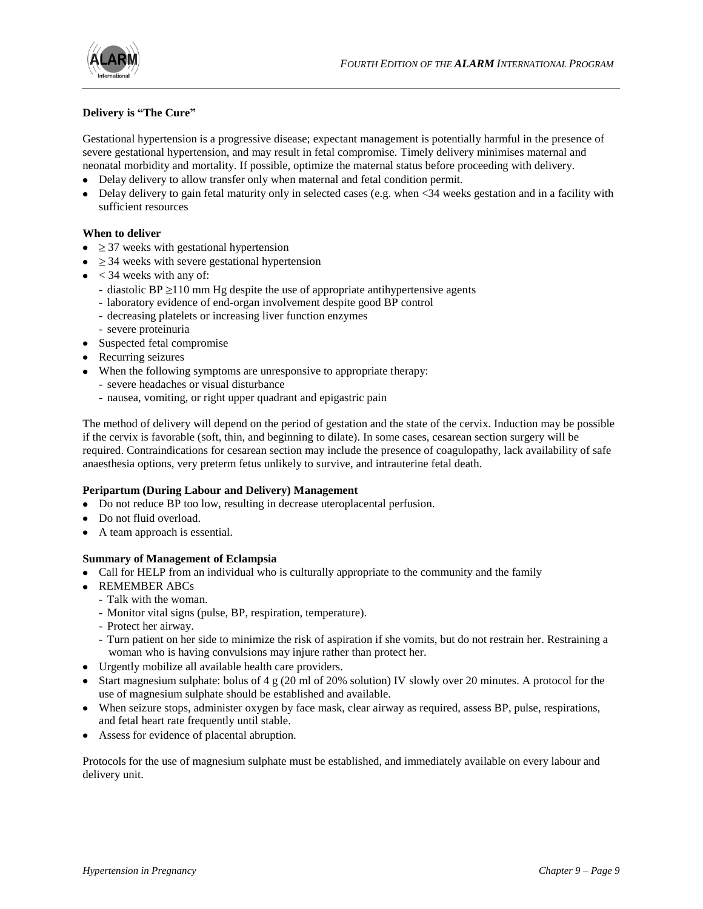

#### **Delivery is "The Cure"**

Gestational hypertension is a progressive disease; expectant management is potentially harmful in the presence of severe gestational hypertension, and may result in fetal compromise. Timely delivery minimises maternal and neonatal morbidity and mortality. If possible, optimize the maternal status before proceeding with delivery.

- Delay delivery to allow transfer only when maternal and fetal condition permit.
- Delay delivery to gain fetal maturity only in selected cases (e.g. when <34 weeks gestation and in a facility with sufficient resources

#### **When to deliver**

- $\bullet$   $\geq$  37 weeks with gestational hypertension
- $\bullet$   $\geq$  34 weeks with severe gestational hypertension
- $\bullet$  < 34 weeks with any of:
	- diastolic BP  $\geq$ 110 mm Hg despite the use of appropriate antihypertensive agents
	- laboratory evidence of end-organ involvement despite good BP control
	- decreasing platelets or increasing liver function enzymes
	- severe proteinuria
- Suspected fetal compromise
- Recurring seizures
- When the following symptoms are unresponsive to appropriate therapy:
	- severe headaches or visual disturbance
	- nausea, vomiting, or right upper quadrant and epigastric pain

The method of delivery will depend on the period of gestation and the state of the cervix. Induction may be possible if the cervix is favorable (soft, thin, and beginning to dilate). In some cases, cesarean section surgery will be required. Contraindications for cesarean section may include the presence of coagulopathy, lack availability of safe anaesthesia options, very preterm fetus unlikely to survive, and intrauterine fetal death.

#### **Peripartum (During Labour and Delivery) Management**

- Do not reduce BP too low, resulting in decrease uteroplacental perfusion.
- Do not fluid overload.
- A team approach is essential.

#### **Summary of Management of Eclampsia**

- Call for HELP from an individual who is culturally appropriate to the community and the family
- REMEMBER ABCs
- Talk with the woman.
	- Monitor vital signs (pulse, BP, respiration, temperature).
	- Protect her airway.
	- Turn patient on her side to minimize the risk of aspiration if she vomits, but do not restrain her. Restraining a woman who is having convulsions may injure rather than protect her.
- Urgently mobilize all available health care providers.
- Start magnesium sulphate: bolus of  $4 \text{ g}$  (20 ml of 20% solution) IV slowly over 20 minutes. A protocol for the use of magnesium sulphate should be established and available.
- When seizure stops, administer oxygen by face mask, clear airway as required, assess BP, pulse, respirations, and fetal heart rate frequently until stable.
- Assess for evidence of placental abruption.

Protocols for the use of magnesium sulphate must be established, and immediately available on every labour and delivery unit.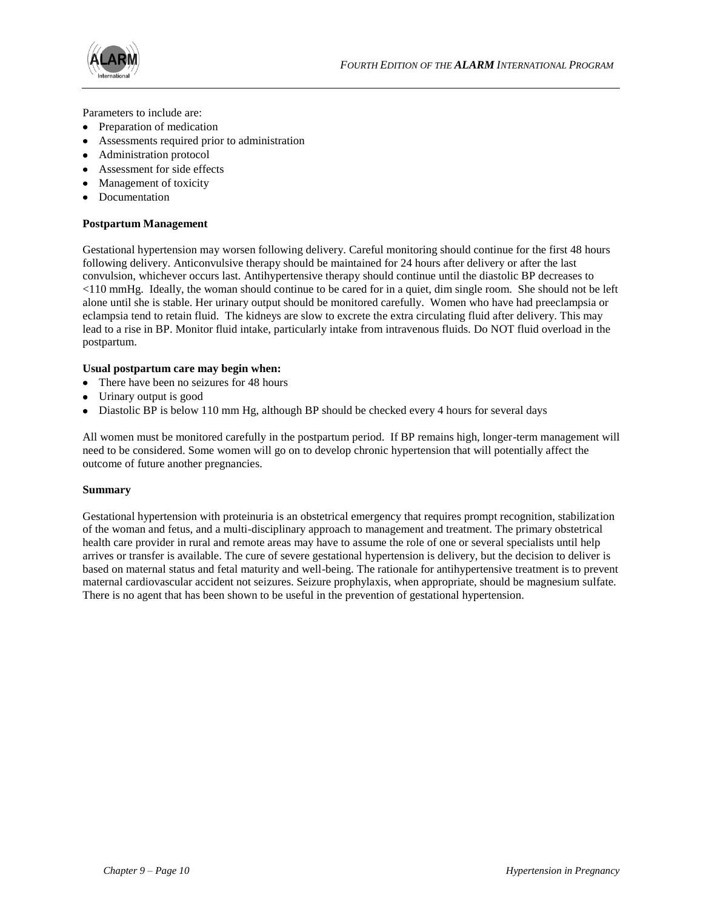



Parameters to include are:

- Preparation of medication
- Assessments required prior to administration
- Administration protocol
- Assessment for side effects
- Management of toxicity
- Documentation

#### **Postpartum Management**

Gestational hypertension may worsen following delivery. Careful monitoring should continue for the first 48 hours following delivery. Anticonvulsive therapy should be maintained for 24 hours after delivery or after the last convulsion, whichever occurs last. Antihypertensive therapy should continue until the diastolic BP decreases to <110 mmHg. Ideally, the woman should continue to be cared for in a quiet, dim single room. She should not be left alone until she is stable. Her urinary output should be monitored carefully. Women who have had preeclampsia or eclampsia tend to retain fluid. The kidneys are slow to excrete the extra circulating fluid after delivery. This may lead to a rise in BP. Monitor fluid intake, particularly intake from intravenous fluids. Do NOT fluid overload in the postpartum.

#### **Usual postpartum care may begin when:**

- There have been no seizures for 48 hours
- Urinary output is good
- Diastolic BP is below 110 mm Hg, although BP should be checked every 4 hours for several days

All women must be monitored carefully in the postpartum period. If BP remains high, longer-term management will need to be considered. Some women will go on to develop chronic hypertension that will potentially affect the outcome of future another pregnancies.

#### **Summary**

Gestational hypertension with proteinuria is an obstetrical emergency that requires prompt recognition, stabilization of the woman and fetus, and a multi-disciplinary approach to management and treatment. The primary obstetrical health care provider in rural and remote areas may have to assume the role of one or several specialists until help arrives or transfer is available. The cure of severe gestational hypertension is delivery, but the decision to deliver is based on maternal status and fetal maturity and well-being. The rationale for antihypertensive treatment is to prevent maternal cardiovascular accident not seizures. Seizure prophylaxis, when appropriate, should be magnesium sulfate. There is no agent that has been shown to be useful in the prevention of gestational hypertension.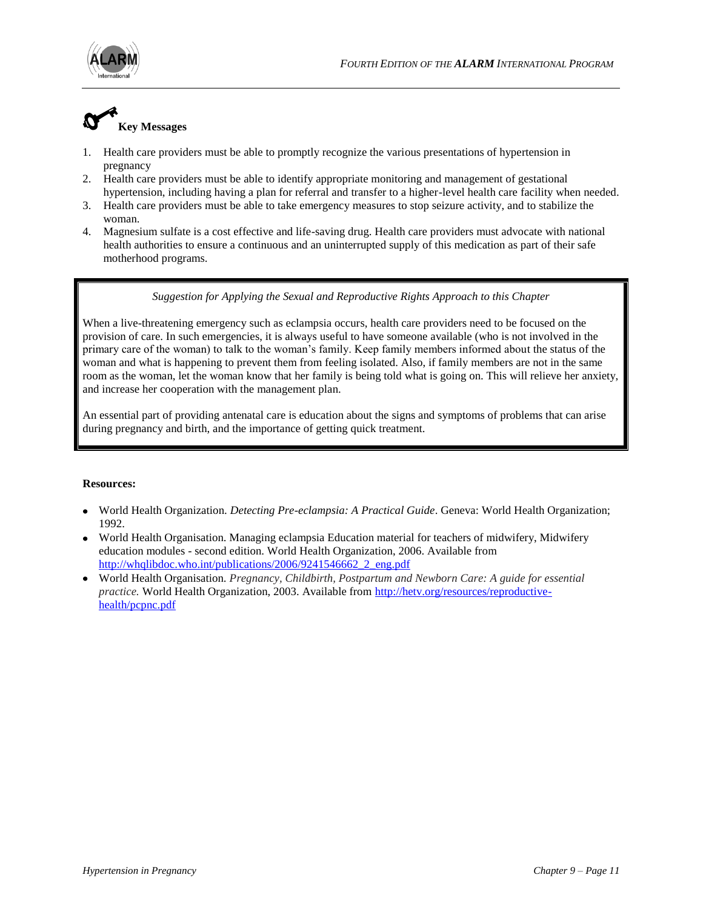

## **Key Messages**

motherhood programs.

- 1. Health care providers must be able to promptly recognize the various presentations of hypertension in pregnancy
- 2. Health care providers must be able to identify appropriate monitoring and management of gestational
- hypertension, including having a plan for referral and transfer to a higher-level health care facility when needed. 3. Health care providers must be able to take emergency measures to stop seizure activity, and to stabilize the
- woman. 4. Magnesium sulfate is a cost effective and life-saving drug. Health care providers must advocate with national health authorities to ensure a continuous and an uninterrupted supply of this medication as part of their safe

#### *Suggestion for Applying the Sexual and Reproductive Rights Approach to this Chapter*

When a live-threatening emergency such as eclampsia occurs, health care providers need to be focused on the provision of care. In such emergencies, it is always useful to have someone available (who is not involved in the primary care of the woman) to talk to the woman's family. Keep family members informed about the status of the woman and what is happening to prevent them from feeling isolated. Also, if family members are not in the same room as the woman, let the woman know that her family is being told what is going on. This will relieve her anxiety, and increase her cooperation with the management plan.

An essential part of providing antenatal care is education about the signs and symptoms of problems that can arise during pregnancy and birth, and the importance of getting quick treatment.

#### **Resources:**

- World Health Organization. *Detecting Pre-eclampsia: A Practical Guide*. Geneva: World Health Organization; 1992.
- World Health Organisation. Managing eclampsia Education material for teachers of midwifery, Midwifery education modules - second edition. World Health Organization, 2006. Available from [http://whqlibdoc.who.int/publications/2006/9241546662\\_2\\_eng.pdf](http://whqlibdoc.who.int/publications/2006/9241546662_2_eng.pdf)
- World Health Organisation. *Pregnancy, Childbirth, Postpartum and Newborn Care: A guide for essential practice.* World Health Organization, 2003. Available from [http://hetv.org/resources/reproductive](http://hetv.org/resources/reproductive-health/pcpnc.pdf)[health/pcpnc.pdf](http://hetv.org/resources/reproductive-health/pcpnc.pdf)